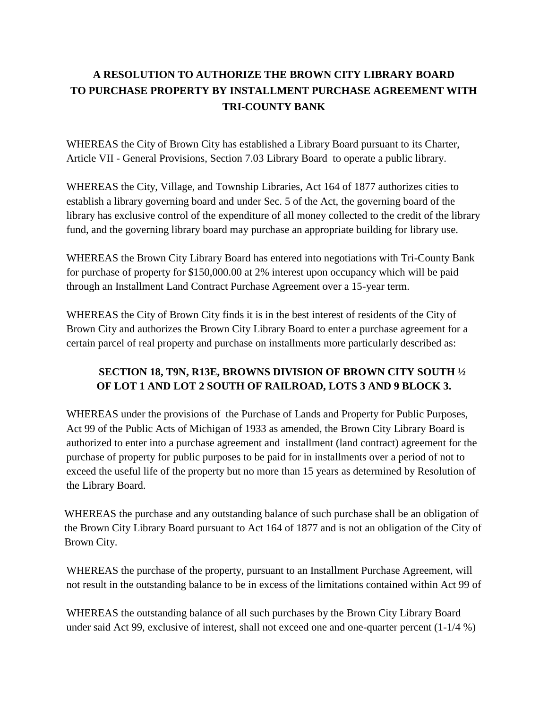## **A RESOLUTION TO AUTHORIZE THE BROWN CITY LIBRARY BOARD TO PURCHASE PROPERTY BY INSTALLMENT PURCHASE AGREEMENT WITH TRI-COUNTY BANK**

WHEREAS the City of Brown City has established a Library Board pursuant to its Charter, Article VII - General Provisions, Section 7.03 Library Board to operate a public library.

WHEREAS the City, Village, and Township Libraries, Act 164 of 1877 authorizes cities to establish a library governing board and under Sec. 5 of the Act, the governing board of the library has exclusive control of the expenditure of all money collected to the credit of the library fund, and the governing library board may purchase an appropriate building for library use.

WHEREAS the Brown City Library Board has entered into negotiations with Tri-County Bank for purchase of property for \$150,000.00 at 2% interest upon occupancy which will be paid through an Installment Land Contract Purchase Agreement over a 15-year term.

WHEREAS the City of Brown City finds it is in the best interest of residents of the City of Brown City and authorizes the Brown City Library Board to enter a purchase agreement for a certain parcel of real property and purchase on installments more particularly described as:

## **SECTION 18, T9N, R13E, BROWNS DIVISION OF BROWN CITY SOUTH ½ OF LOT 1 AND LOT 2 SOUTH OF RAILROAD, LOTS 3 AND 9 BLOCK 3.**

WHEREAS under the provisions of the Purchase of Lands and Property for Public Purposes, Act 99 of the Public Acts of Michigan of 1933 as amended, the Brown City Library Board is authorized to enter into a purchase agreement and installment (land contract) agreement for the purchase of property for public purposes to be paid for in installments over a period of not to exceed the useful life of the property but no more than 15 years as determined by Resolution of the Library Board.

WHEREAS the purchase and any outstanding balance of such purchase shall be an obligation of the Brown City Library Board pursuant to Act 164 of 1877 and is not an obligation of the City of Brown City.

WHEREAS the purchase of the property, pursuant to an Installment Purchase Agreement, will not result in the outstanding balance to be in excess of the limitations contained within Act 99 of

WHEREAS the outstanding balance of all such purchases by the Brown City Library Board under said Act 99, exclusive of interest, shall not exceed one and one-quarter percent (1-1/4 %)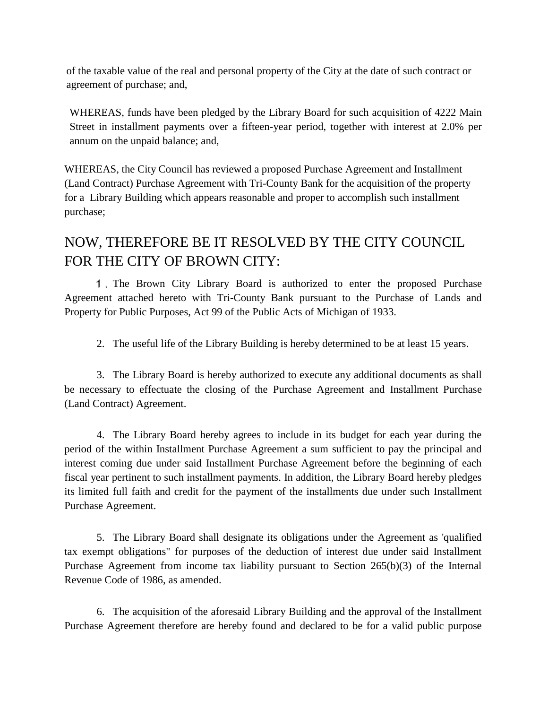of the taxable value of the real and personal property of the City at the date of such contract or agreement of purchase; and,

WHEREAS, funds have been pledged by the Library Board for such acquisition of 4222 Main Street in installment payments over a fifteen-year period, together with interest at 2.0% per annum on the unpaid balance; and,

WHEREAS, the City Council has reviewed a proposed Purchase Agreement and Installment (Land Contract) Purchase Agreement with Tri-County Bank for the acquisition of the property for a Library Building which appears reasonable and proper to accomplish such installment purchase;

## NOW, THEREFORE BE IT RESOLVED BY THE CITY COUNCIL FOR THE CITY OF BROWN CITY:

The Brown City Library Board is authorized to enter the proposed Purchase Agreement attached hereto with Tri-County Bank pursuant to the Purchase of Lands and Property for Public Purposes, Act 99 of the Public Acts of Michigan of 1933.

2. The useful life of the Library Building is hereby determined to be at least 15 years.

3. The Library Board is hereby authorized to execute any additional documents as shall be necessary to effectuate the closing of the Purchase Agreement and Installment Purchase (Land Contract) Agreement.

4. The Library Board hereby agrees to include in its budget for each year during the period of the within Installment Purchase Agreement a sum sufficient to pay the principal and interest coming due under said Installment Purchase Agreement before the beginning of each fiscal year pertinent to such installment payments. In addition, the Library Board hereby pledges its limited full faith and credit for the payment of the installments due under such Installment Purchase Agreement.

5. The Library Board shall designate its obligations under the Agreement as 'qualified tax exempt obligations" for purposes of the deduction of interest due under said Installment Purchase Agreement from income tax liability pursuant to Section 265(b)(3) of the Internal Revenue Code of 1986, as amended.

6. The acquisition of the aforesaid Library Building and the approval of the Installment Purchase Agreement therefore are hereby found and declared to be for a valid public purpose